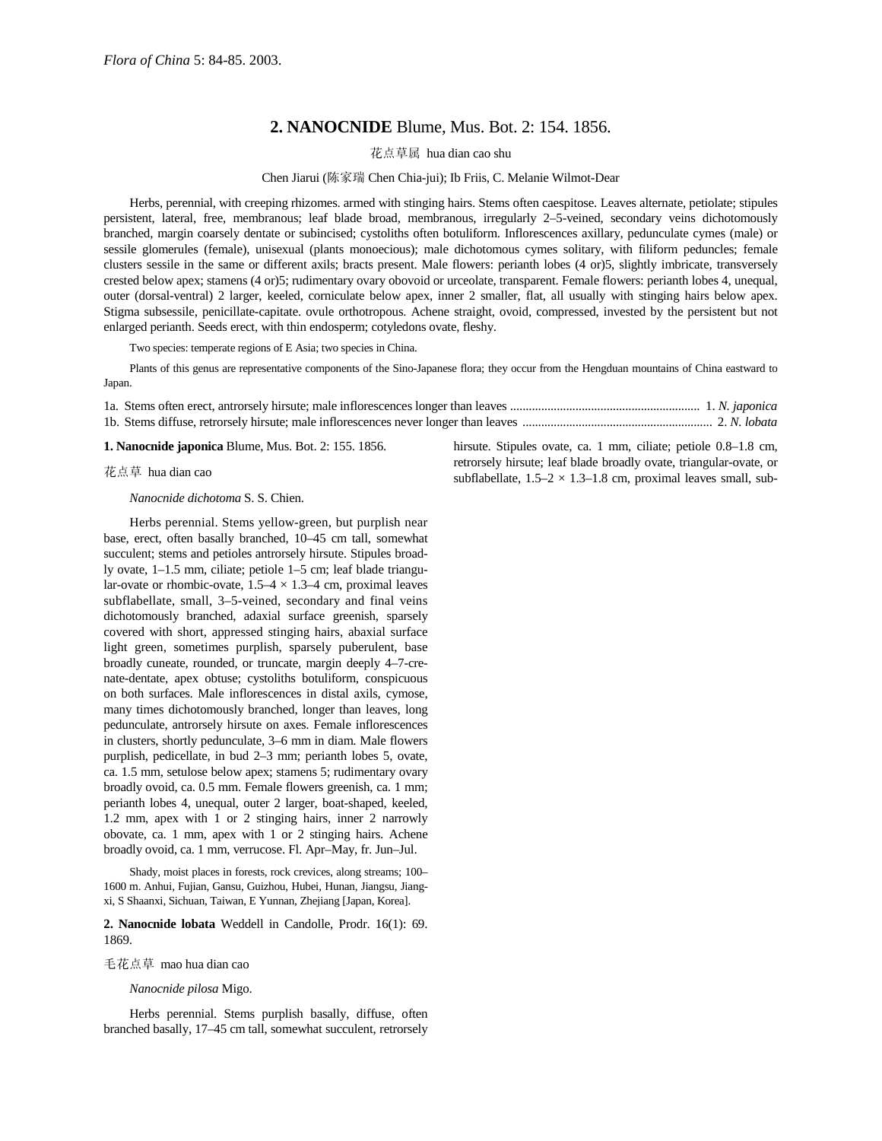## **2. NANOCNIDE** Blume, Mus. Bot. 2: 154. 1856.

花点草属 hua dian cao shu

## Chen Jiarui (陈家瑞 Chen Chia-jui); Ib Friis, C. Melanie Wilmot-Dear

Herbs, perennial, with creeping rhizomes. armed with stinging hairs. Stems often caespitose. Leaves alternate, petiolate; stipules persistent, lateral, free, membranous; leaf blade broad, membranous, irregularly 2–5-veined, secondary veins dichotomously branched, margin coarsely dentate or subincised; cystoliths often botuliform. Inflorescences axillary, pedunculate cymes (male) or sessile glomerules (female), unisexual (plants monoecious); male dichotomous cymes solitary, with filiform peduncles; female clusters sessile in the same or different axils; bracts present. Male flowers: perianth lobes (4 or)5, slightly imbricate, transversely crested below apex; stamens (4 or)5; rudimentary ovary obovoid or urceolate, transparent. Female flowers: perianth lobes 4, unequal, outer (dorsal-ventral) 2 larger, keeled, corniculate below apex, inner 2 smaller, flat, all usually with stinging hairs below apex. Stigma subsessile, penicillate-capitate. ovule orthotropous. Achene straight, ovoid, compressed, invested by the persistent but not enlarged perianth. Seeds erect, with thin endosperm; cotyledons ovate, fleshy.

Two species: temperate regions of E Asia; two species in China.

Plants of this genus are representative components of the Sino-Japanese flora; they occur from the Hengduan mountains of China eastward to Japan.

1a. Stems often erect, antrorsely hirsute; male inflorescences longer than leaves ............................................................. 1. *N. japonica* 1b. Stems diffuse, retrorsely hirsute; male inflorescences never longer than leaves ............................................................. 2. *N. lobata*

**1. Nanocnide japonica** Blume, Mus. Bot. 2: 155. 1856.

花点草 hua dian cao

*Nanocnide dichotoma* S. S. Chien.

Herbs perennial. Stems yellow-green, but purplish near base, erect, often basally branched, 10–45 cm tall, somewhat succulent; stems and petioles antrorsely hirsute. Stipules broadly ovate, 1–1.5 mm, ciliate; petiole 1–5 cm; leaf blade triangular-ovate or rhombic-ovate,  $1.5-4 \times 1.3-4$  cm, proximal leaves subflabellate, small, 3–5-veined, secondary and final veins dichotomously branched, adaxial surface greenish, sparsely covered with short, appressed stinging hairs, abaxial surface light green, sometimes purplish, sparsely puberulent, base broadly cuneate, rounded, or truncate, margin deeply 4–7-crenate-dentate, apex obtuse; cystoliths botuliform, conspicuous on both surfaces. Male inflorescences in distal axils, cymose, many times dichotomously branched, longer than leaves, long pedunculate, antrorsely hirsute on axes. Female inflorescences in clusters, shortly pedunculate, 3–6 mm in diam. Male flowers purplish, pedicellate, in bud 2–3 mm; perianth lobes 5, ovate, ca. 1.5 mm, setulose below apex; stamens 5; rudimentary ovary broadly ovoid, ca. 0.5 mm. Female flowers greenish, ca. 1 mm; perianth lobes 4, unequal, outer 2 larger, boat-shaped, keeled, 1.2 mm, apex with 1 or 2 stinging hairs, inner 2 narrowly obovate, ca. 1 mm, apex with 1 or 2 stinging hairs. Achene broadly ovoid, ca. 1 mm, verrucose. Fl. Apr–May, fr. Jun–Jul.

Shady, moist places in forests, rock crevices, along streams; 100– 1600 m. Anhui, Fujian, Gansu, Guizhou, Hubei, Hunan, Jiangsu, Jiangxi, S Shaanxi, Sichuan, Taiwan, E Yunnan, Zhejiang [Japan, Korea].

**2. Nanocnide lobata** Weddell in Candolle, Prodr. 16(1): 69. 1869.

毛花点草 mao hua dian cao

*Nanocnide pilosa* Migo.

Herbs perennial. Stems purplish basally, diffuse, often branched basally, 17–45 cm tall, somewhat succulent, retrorsely hirsute. Stipules ovate, ca. 1 mm, ciliate; petiole 0.8–1.8 cm, retrorsely hirsute; leaf blade broadly ovate, triangular-ovate, or subflabellate,  $1.5-2 \times 1.3-1.8$  cm, proximal leaves small, sub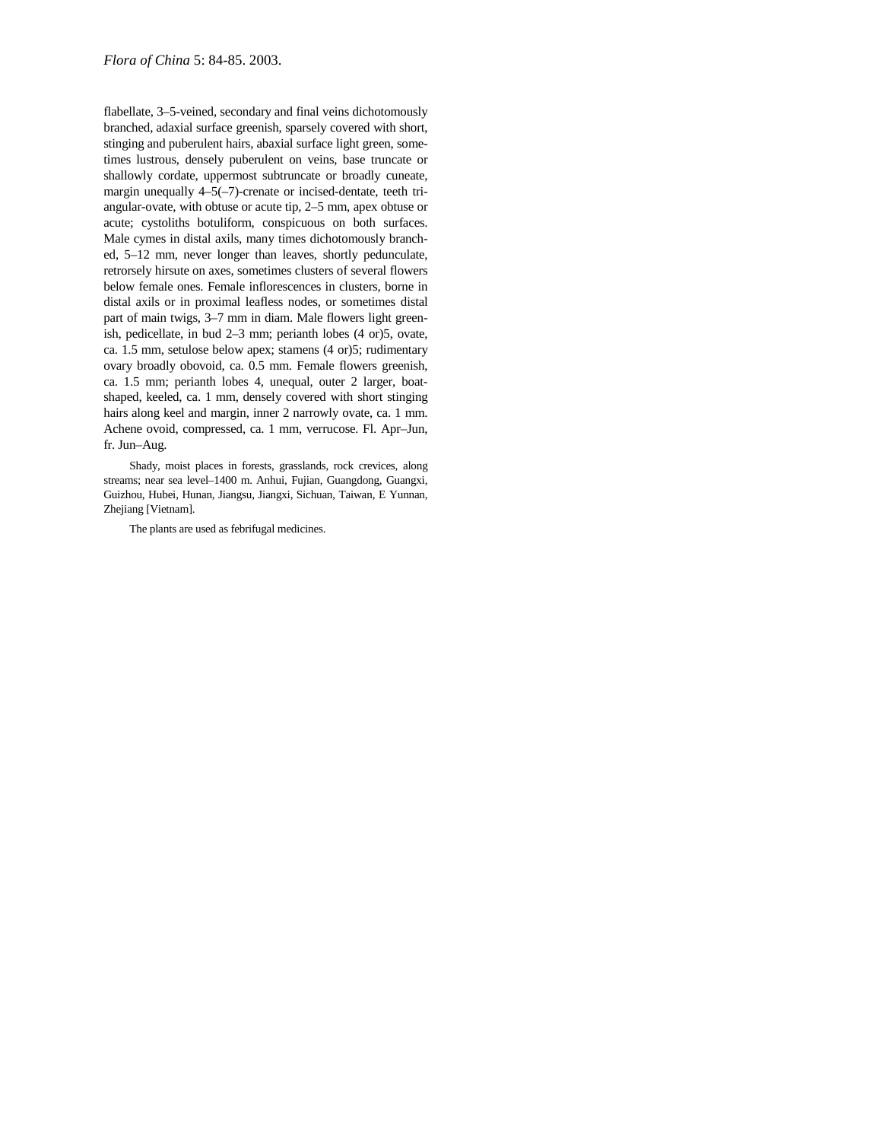flabellate, 3–5-veined, secondary and final veins dichotomously branched, adaxial surface greenish, sparsely covered with short, stinging and puberulent hairs, abaxial surface light green, sometimes lustrous, densely puberulent on veins, base truncate or shallowly cordate, uppermost subtruncate or broadly cuneate, margin unequally 4–5(–7)-crenate or incised-dentate, teeth triangular-ovate, with obtuse or acute tip, 2–5 mm, apex obtuse or acute; cystoliths botuliform, conspicuous on both surfaces. Male cymes in distal axils, many times dichotomously branched, 5–12 mm, never longer than leaves, shortly pedunculate, retrorsely hirsute on axes, sometimes clusters of several flowers below female ones. Female inflorescences in clusters, borne in distal axils or in proximal leafless nodes, or sometimes distal part of main twigs, 3–7 mm in diam. Male flowers light greenish, pedicellate, in bud 2–3 mm; perianth lobes (4 or)5, ovate, ca. 1.5 mm, setulose below apex; stamens (4 or)5; rudimentary ovary broadly obovoid, ca. 0.5 mm. Female flowers greenish, ca. 1.5 mm; perianth lobes 4, unequal, outer 2 larger, boatshaped, keeled, ca. 1 mm, densely covered with short stinging hairs along keel and margin, inner 2 narrowly ovate, ca. 1 mm. Achene ovoid, compressed, ca. 1 mm, verrucose. Fl. Apr–Jun, fr. Jun–Aug.

Shady, moist places in forests, grasslands, rock crevices, along streams; near sea level–1400 m. Anhui, Fujian, Guangdong, Guangxi, Guizhou, Hubei, Hunan, Jiangsu, Jiangxi, Sichuan, Taiwan, E Yunnan, Zhejiang [Vietnam].

The plants are used as febrifugal medicines.